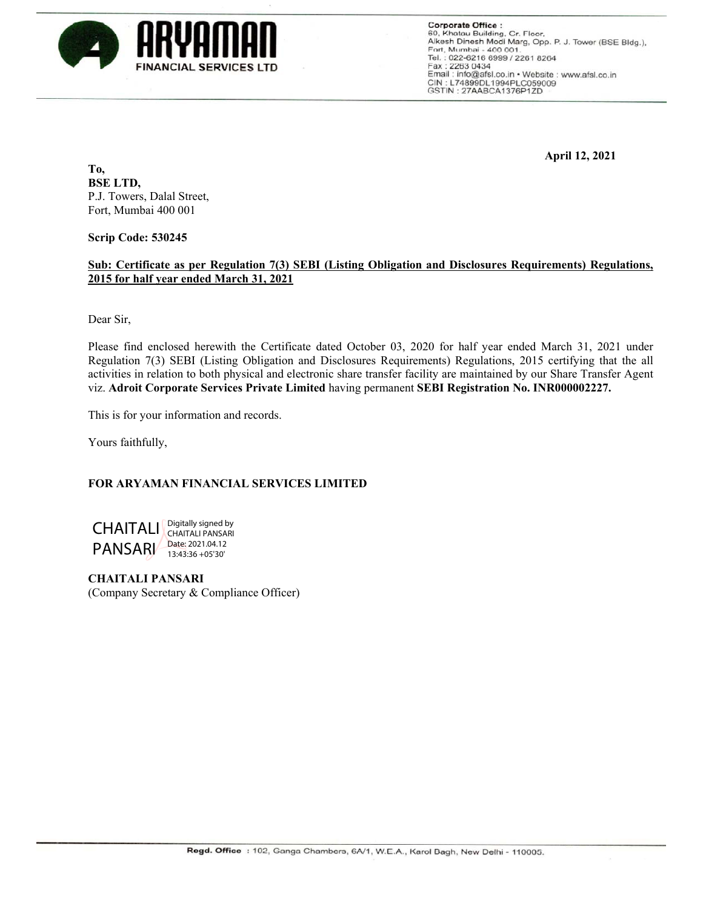

**Corporate Office:** 60, Khatau Building, Gr. Floor, Alkesh Dinesh Modi Marg, Opp. P. J. Tower (BSE Bldg.), Fort, Mumbai - 400 001. Tel.: 022-6216 6999 / 2261 8264 Fax: 2263 0434 Email: info@afsl.co.in • Website: www.afsl.co.in<br>CIN: L74899DL1994PLC059009 GSTIN: 27AABCA1376P1ZD

 **April 12, 2021** 

**To, BSE LTD,**  P.J. Towers, Dalal Street, Fort, Mumbai 400 001

**Scrip Code: 530245** 

## **Sub: Certificate as per Regulation 7(3) SEBI (Listing Obligation and Disclosures Requirements) Regulations, 2015 for half year ended March 31, 2021**

Dear Sir,

Please find enclosed herewith the Certificate dated October 03, 2020 for half year ended March 31, 2021 under Regulation 7(3) SEBI (Listing Obligation and Disclosures Requirements) Regulations, 2015 certifying that the all activities in relation to both physical and electronic share transfer facility are maintained by our Share Transfer Agent viz. **Adroit Corporate Services Private Limited** having permanent **SEBI Registration No. INR000002227.** 

This is for your information and records.

Yours faithfully,

## **FOR ARYAMAN FINANCIAL SERVICES LIMITED**



**CHAITALI PANSARI**  (Company Secretary & Compliance Officer)